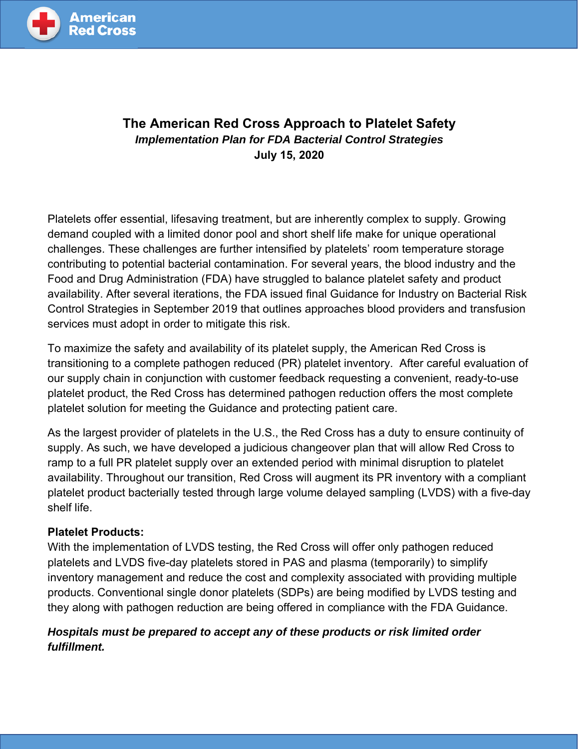

# **The American Red Cross Approach to Platelet Safety** *Implementation Plan for FDA Bacterial Control Strategies*  **July 15, 2020**

Platelets offer essential, lifesaving treatment, but are inherently complex to supply. Growing demand coupled with a limited donor pool and short shelf life make for unique operational challenges. These challenges are further intensified by platelets' room temperature storage contributing to potential bacterial contamination. For several years, the blood industry and the Food and Drug Administration (FDA) have struggled to balance platelet safety and product availability. After several iterations, the FDA issued final Guidance for Industry on Bacterial Risk Control Strategies in September 2019 that outlines approaches blood providers and transfusion services must adopt in order to mitigate this risk.

To maximize the safety and availability of its platelet supply, the American Red Cross is transitioning to a complete pathogen reduced (PR) platelet inventory. After careful evaluation of our supply chain in conjunction with customer feedback requesting a convenient, ready-to-use platelet product, the Red Cross has determined pathogen reduction offers the most complete platelet solution for meeting the Guidance and protecting patient care.

As the largest provider of platelets in the U.S., the Red Cross has a duty to ensure continuity of supply. As such, we have developed a judicious changeover plan that will allow Red Cross to ramp to a full PR platelet supply over an extended period with minimal disruption to platelet availability. Throughout our transition, Red Cross will augment its PR inventory with a compliant platelet product bacterially tested through large volume delayed sampling (LVDS) with a five-day shelf life.

## **Platelet Products:**

With the implementation of LVDS testing, the Red Cross will offer only pathogen reduced platelets and LVDS five-day platelets stored in PAS and plasma (temporarily) to simplify inventory management and reduce the cost and complexity associated with providing multiple products. Conventional single donor platelets (SDPs) are being modified by LVDS testing and they along with pathogen reduction are being offered in compliance with the FDA Guidance.

# *Hospitals must be prepared to accept any of these products or risk limited order fulfillment.*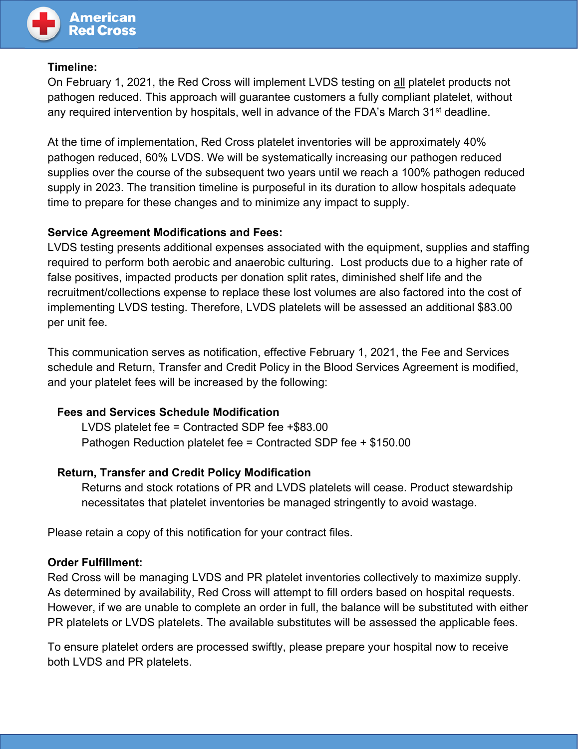

## **Timeline:**

On February 1, 2021, the Red Cross will implement LVDS testing on all platelet products not pathogen reduced. This approach will guarantee customers a fully compliant platelet, without any required intervention by hospitals, well in advance of the FDA's March 31<sup>st</sup> deadline.

At the time of implementation, Red Cross platelet inventories will be approximately 40% pathogen reduced, 60% LVDS. We will be systematically increasing our pathogen reduced supplies over the course of the subsequent two years until we reach a 100% pathogen reduced supply in 2023. The transition timeline is purposeful in its duration to allow hospitals adequate time to prepare for these changes and to minimize any impact to supply.

## **Service Agreement Modifications and Fees:**

LVDS testing presents additional expenses associated with the equipment, supplies and staffing required to perform both aerobic and anaerobic culturing. Lost products due to a higher rate of false positives, impacted products per donation split rates, diminished shelf life and the recruitment/collections expense to replace these lost volumes are also factored into the cost of implementing LVDS testing. Therefore, LVDS platelets will be assessed an additional \$83.00 per unit fee.

This communication serves as notification, effective February 1, 2021, the Fee and Services schedule and Return, Transfer and Credit Policy in the Blood Services Agreement is modified, and your platelet fees will be increased by the following:

## **Fees and Services Schedule Modification**

LVDS platelet fee = Contracted SDP fee +\$83.00 Pathogen Reduction platelet fee = Contracted SDP fee + \$150.00

## **Return, Transfer and Credit Policy Modification**

Returns and stock rotations of PR and LVDS platelets will cease. Product stewardship necessitates that platelet inventories be managed stringently to avoid wastage.

Please retain a copy of this notification for your contract files.

#### **Order Fulfillment:**

Red Cross will be managing LVDS and PR platelet inventories collectively to maximize supply. As determined by availability, Red Cross will attempt to fill orders based on hospital requests. However, if we are unable to complete an order in full, the balance will be substituted with either PR platelets or LVDS platelets. The available substitutes will be assessed the applicable fees.

To ensure platelet orders are processed swiftly, please prepare your hospital now to receive both LVDS and PR platelets.